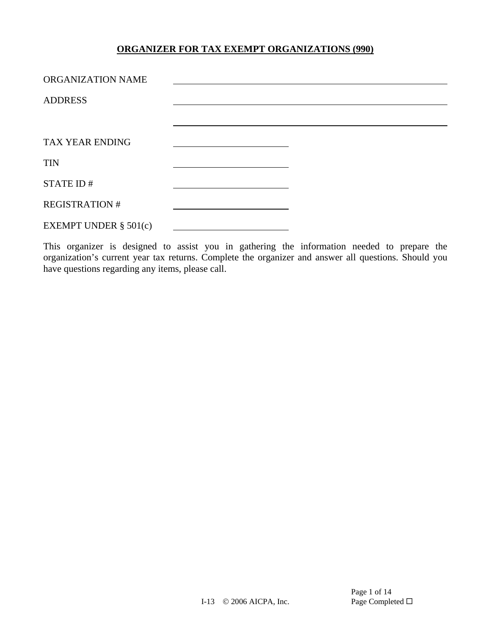| ORGANIZATION NAME        |  |  |
|--------------------------|--|--|
| <b>ADDRESS</b>           |  |  |
|                          |  |  |
| TAX YEAR ENDING          |  |  |
| <b>TIN</b>               |  |  |
| STATE ID#                |  |  |
| <b>REGISTRATION#</b>     |  |  |
| EXEMPT UNDER $\S$ 501(c) |  |  |

This organizer is designed to assist you in gathering the information needed to prepare the organization's current year tax returns. Complete the organizer and answer all questions. Should you have questions regarding any items, please call.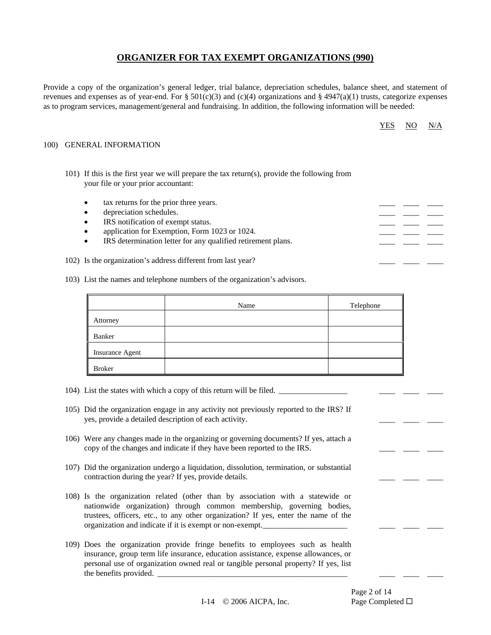Provide a copy of the organization's general ledger, trial balance, depreciation schedules, balance sheet, and statement of revenues and expenses as of year-end. For § 501(c)(3) and (c)(4) organizations and § 4947(a)(1) trusts, categorize expenses as to program services, management/general and fundraising. In addition, the following information will be needed:

| חי | O  | $N_{\ell}$     |
|----|----|----------------|
| v  | V. | $\overline{ }$ |
|    |    |                |

#### 100) GENERAL INFORMATION

- 101) If this is the first year we will prepare the tax return(s), provide the following from your file or your prior accountant:
	- tax returns for the prior three years.
	- depreciation schedules.
	- IRS notification of exempt status.
	- application for Exemption, Form 1023 or 1024.
	- IRS determination letter for any qualified retirement plans.
- 102) Is the organization's address different from last year?
- 103) List the names and telephone numbers of the organization's advisors.

|                 | Name | Telephone |
|-----------------|------|-----------|
| Attorney        |      |           |
| Banker          |      |           |
| Insurance Agent |      |           |
| <b>Broker</b>   |      |           |

- 104) List the states with which a copy of this return will be filed. \_\_\_\_\_\_\_\_\_\_\_\_\_\_\_\_\_ \_\_\_\_ \_\_\_\_ \_\_\_\_
- 105) Did the organization engage in any activity not previously reported to the IRS? If yes, provide a detailed description of each activity.
- 106) Were any changes made in the organizing or governing documents? If yes, attach a copy of the changes and indicate if they have been reported to the IRS.
- 107) Did the organization undergo a liquidation, dissolution, termination, or substantial contraction during the year? If yes, provide details.
- 108) Is the organization related (other than by association with a statewide or nationwide organization) through common membership, governing bodies, trustees, officers, etc., to any other organization? If yes, enter the name of the organization and indicate if it is exempt or non-exempt.
- 109) Does the organization provide fringe benefits to employees such as health insurance, group term life insurance, education assistance, expense allowances, or personal use of organization owned real or tangible personal property? If yes, list the benefits provided.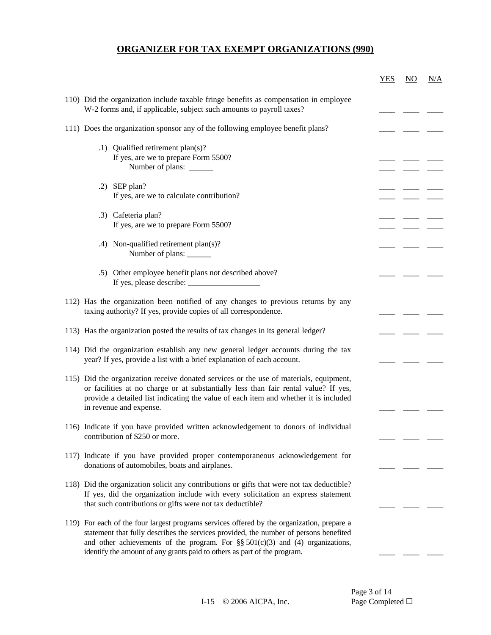|                                                                                                                                                                             | <b>YES</b> | $\underline{NO}$ | N/A |
|-----------------------------------------------------------------------------------------------------------------------------------------------------------------------------|------------|------------------|-----|
| 110) Did the organization include taxable fringe benefits as compensation in employee<br>W-2 forms and, if applicable, subject such amounts to payroll taxes?               |            |                  |     |
| 111) Does the organization sponsor any of the following employee benefit plans?                                                                                             |            |                  |     |
| .1) Qualified retirement plan(s)?                                                                                                                                           |            |                  |     |
| If yes, are we to prepare Form 5500?                                                                                                                                        |            |                  |     |
| Number of plans: ______                                                                                                                                                     |            |                  |     |
| $.2)$ SEP plan?                                                                                                                                                             |            |                  |     |
| If yes, are we to calculate contribution?                                                                                                                                   |            |                  |     |
| .3) Cafeteria plan?                                                                                                                                                         |            |                  |     |
| If yes, are we to prepare Form 5500?                                                                                                                                        |            |                  |     |
| .4) Non-qualified retirement plan(s)?                                                                                                                                       |            |                  |     |
| Number of plans: ______                                                                                                                                                     |            |                  |     |
| .5) Other employee benefit plans not described above?                                                                                                                       |            |                  |     |
|                                                                                                                                                                             |            |                  |     |
| 112) Has the organization been notified of any changes to previous returns by any                                                                                           |            |                  |     |
| taxing authority? If yes, provide copies of all correspondence.                                                                                                             |            |                  |     |
| 113) Has the organization posted the results of tax changes in its general ledger?                                                                                          |            |                  |     |
| 114) Did the organization establish any new general ledger accounts during the tax                                                                                          |            |                  |     |
| year? If yes, provide a list with a brief explanation of each account.                                                                                                      |            |                  |     |
| 115) Did the organization receive donated services or the use of materials, equipment,                                                                                      |            |                  |     |
| or facilities at no charge or at substantially less than fair rental value? If yes,                                                                                         |            |                  |     |
| provide a detailed list indicating the value of each item and whether it is included<br>in revenue and expense.                                                             |            |                  |     |
|                                                                                                                                                                             |            |                  |     |
| 116) Indicate if you have provided written acknowledgement to donors of individual                                                                                          |            |                  |     |
| contribution of \$250 or more.                                                                                                                                              |            |                  |     |
| 117) Indicate if you have provided proper contemporaneous acknowledgement for                                                                                               |            |                  |     |
| donations of automobiles, boats and airplanes.                                                                                                                              |            |                  |     |
| 118) Did the organization solicit any contributions or gifts that were not tax deductible?                                                                                  |            |                  |     |
| If yes, did the organization include with every solicitation an express statement<br>that such contributions or gifts were not tax deductible?                              |            |                  |     |
|                                                                                                                                                                             |            |                  |     |
| 119) For each of the four largest programs services offered by the organization, prepare a                                                                                  |            |                  |     |
| statement that fully describes the services provided, the number of persons benefited<br>and other achievements of the program. For $\S\S 501(c)(3)$ and (4) organizations, |            |                  |     |
| identify the amount of any grants paid to others as part of the program.                                                                                                    |            |                  |     |
|                                                                                                                                                                             |            |                  |     |

Page 3 of 14<br>Page Completed  $\Box$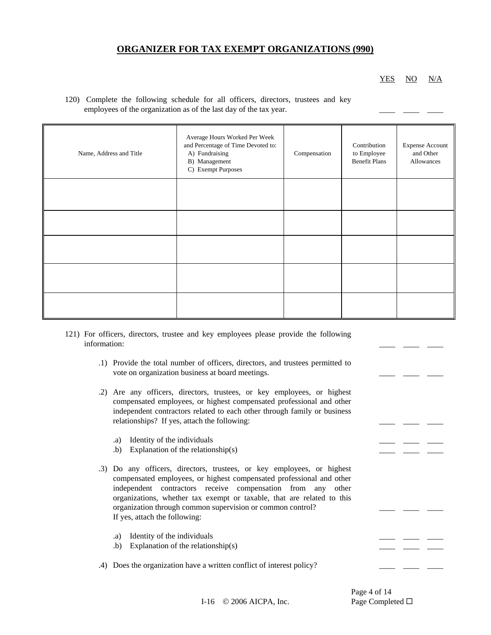YES NO N/A

120) Complete the following schedule for all officers, directors, trustees and key employees of the organization as of the last day of the tax year.

| Name, Address and Title | Average Hours Worked Per Week<br>and Percentage of Time Devoted to:<br>A) Fundraising<br>B) Management<br>C) Exempt Purposes | Compensation | Contribution<br>to Employee<br><b>Benefit Plans</b> | <b>Expense Account</b><br>and Other<br>Allowances |
|-------------------------|------------------------------------------------------------------------------------------------------------------------------|--------------|-----------------------------------------------------|---------------------------------------------------|
|                         |                                                                                                                              |              |                                                     |                                                   |
|                         |                                                                                                                              |              |                                                     |                                                   |
|                         |                                                                                                                              |              |                                                     |                                                   |
|                         |                                                                                                                              |              |                                                     |                                                   |
|                         |                                                                                                                              |              |                                                     |                                                   |

- 121) For officers, directors, trustee and key employees please provide the following information: \_\_\_\_ \_\_\_\_ \_\_\_\_
	- .1) Provide the total number of officers, directors, and trustees permitted to vote on organization business at board meetings.
	- .2) Are any officers, directors, trustees, or key employees, or highest compensated employees, or highest compensated professional and other independent contractors related to each other through family or business relationships? If yes, attach the following:
		- .a) Identity of the individuals
		- .b) Explanation of the relationship(s)
	- .3) Do any officers, directors, trustees, or key employees, or highest compensated employees, or highest compensated professional and other independent contractors receive compensation from any other organizations, whether tax exempt or taxable, that are related to this organization through common supervision or common control? If yes, attach the following:
		- .a) Identity of the individuals
		- .b) Explanation of the relationship(s)
	- .4) Does the organization have a written conflict of interest policy?

Page 4 of 14

\_\_\_\_ \_\_\_\_ \_\_\_\_

I-16 © 2006 AICPA, Inc. Page Completed □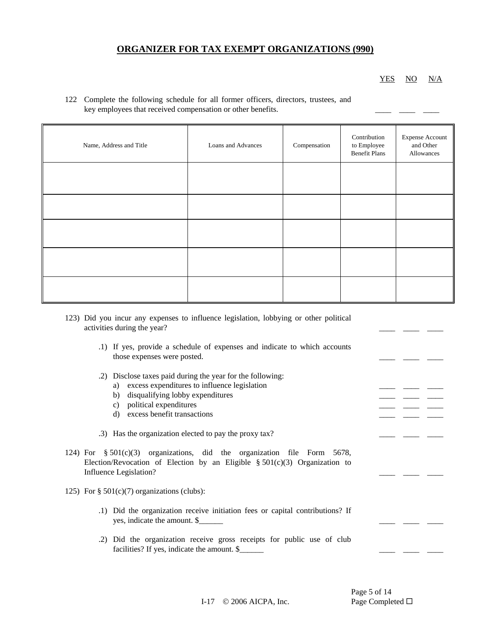#### YES NO N/A

| 122 Complete the following schedule for all former officers, directors, trustees, and |  |  |
|---------------------------------------------------------------------------------------|--|--|
| key employees that received compensation or other benefits.                           |  |  |

| Name, Address and Title | Loans and Advances | Compensation | Contribution<br>to Employee<br><b>Benefit Plans</b> | <b>Expense Account</b><br>and Other<br>Allowances |
|-------------------------|--------------------|--------------|-----------------------------------------------------|---------------------------------------------------|
|                         |                    |              |                                                     |                                                   |
|                         |                    |              |                                                     |                                                   |
|                         |                    |              |                                                     |                                                   |
|                         |                    |              |                                                     |                                                   |
|                         |                    |              |                                                     |                                                   |

- 123) Did you incur any expenses to influence legislation, lobbying or other political activities during the year?
	- .1) If yes, provide a schedule of expenses and indicate to which accounts those expenses were posted.
	- .2) Disclose taxes paid during the year for the following:
		- a) excess expenditures to influence legislation
		- b) disqualifying lobby expenditures
		- c) political expenditures
		- d) excess benefit transactions

.3) Has the organization elected to pay the proxy tax?

- 124) For § 501(c)(3) organizations, did the organization file Form 5678, Election/Revocation of Election by an Eligible §  $501(c)(3)$  Organization to Influence Legislation?
- 125) For  $\S$  501(c)(7) organizations (clubs):
	- .1) Did the organization receive initiation fees or capital contributions? If yes, indicate the amount. \$
	- .2) Did the organization receive gross receipts for public use of club facilities? If yes, indicate the amount.  $\$

Page 5 of 14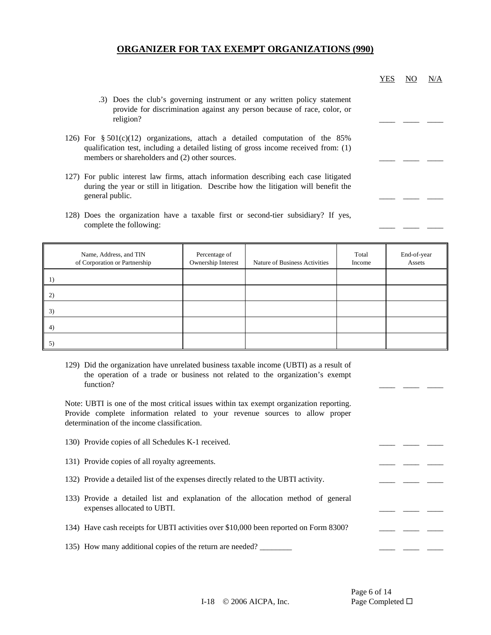| .3) Does the club's governing instrument or any written policy statement |  |  |
|--------------------------------------------------------------------------|--|--|
| provide for discrimination against any person because of race, color, or |  |  |
| religion?                                                                |  |  |

- 126) For § 501(c)(12) organizations, attach a detailed computation of the 85% qualification test, including a detailed listing of gross income received from: (1) members or shareholders and (2) other sources.
- 127) For public interest law firms, attach information describing each case litigated during the year or still in litigation. Describe how the litigation will benefit the general public.
- 128) Does the organization have a taxable first or second-tier subsidiary? If yes, complete the following:

| Name, Address, and TIN<br>of Corporation or Partnership | Percentage of<br>Ownership Interest | Nature of Business Activities | Total<br>Income | End-of-year<br>Assets |
|---------------------------------------------------------|-------------------------------------|-------------------------------|-----------------|-----------------------|
| 1)                                                      |                                     |                               |                 |                       |
| 2)                                                      |                                     |                               |                 |                       |
| 3)                                                      |                                     |                               |                 |                       |
| 4)                                                      |                                     |                               |                 |                       |
| 5)                                                      |                                     |                               |                 |                       |

129) Did the organization have unrelated business taxable income (UBTI) as a result of the operation of a trade or business not related to the organization's exempt function? \_\_\_\_ \_\_\_\_ \_\_\_\_

Note: UBTI is one of the most critical issues within tax exempt organization reporting. Provide complete information related to your revenue sources to allow proper determination of the income classification.

| 130) Provide copies of all Schedules K-1 received.                                                              |  |  |  |
|-----------------------------------------------------------------------------------------------------------------|--|--|--|
| 131) Provide copies of all royalty agreements.                                                                  |  |  |  |
| 132) Provide a detailed list of the expenses directly related to the UBTI activity.                             |  |  |  |
| 133) Provide a detailed list and explanation of the allocation method of general<br>expenses allocated to UBTI. |  |  |  |
| 134) Have cash receipts for UBTI activities over \$10,000 been reported on Form 8300?                           |  |  |  |
| 135) How many additional copies of the return are needed?                                                       |  |  |  |

Page 6 of 14

YES NO N/A

I-18 © 2006 AICPA, Inc. Page Completed □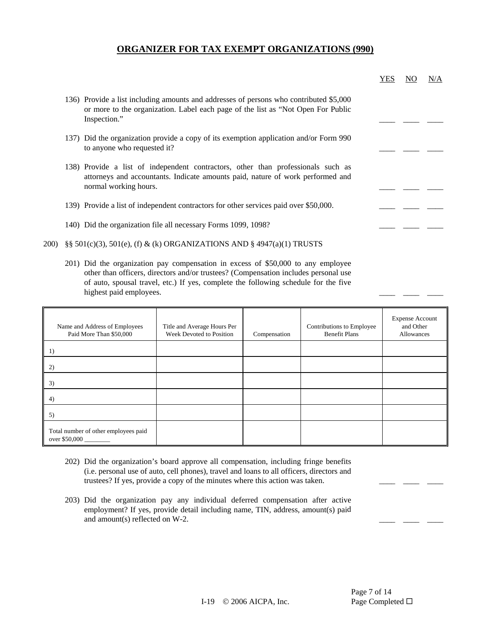|       |                                                                                                                                                                                             | <b>YES</b> |  | N/A |
|-------|---------------------------------------------------------------------------------------------------------------------------------------------------------------------------------------------|------------|--|-----|
|       | 136) Provide a list including amounts and addresses of persons who contributed \$5,000<br>or more to the organization. Label each page of the list as "Not Open For Public<br>Inspection."  |            |  |     |
|       | 137) Did the organization provide a copy of its exemption application and/or Form 990<br>to anyone who requested it?                                                                        |            |  |     |
|       | 138) Provide a list of independent contractors, other than professionals such as<br>attorneys and accountants. Indicate amounts paid, nature of work performed and<br>normal working hours. |            |  |     |
|       | 139) Provide a list of independent contractors for other services paid over \$50,000.                                                                                                       |            |  |     |
|       | 140) Did the organization file all necessary Forms 1099, 1098?                                                                                                                              |            |  |     |
| 200). | $\S$ § 501(c)(3), 501(e), (f) & (k) ORGANIZATIONS AND § 4947(a)(1) TRUSTS                                                                                                                   |            |  |     |

201) Did the organization pay compensation in excess of \$50,000 to any employee other than officers, directors and/or trustees? (Compensation includes personal use of auto, spousal travel, etc.) If yes, complete the following schedule for the five highest paid employees.

| Name and Address of Employees<br>Paid More Than \$50,000 | Title and Average Hours Per<br>Week Devoted to Position | Compensation | Contributions to Employee<br><b>Benefit Plans</b> | <b>Expense Account</b><br>and Other<br>Allowances |
|----------------------------------------------------------|---------------------------------------------------------|--------------|---------------------------------------------------|---------------------------------------------------|
| 1)                                                       |                                                         |              |                                                   |                                                   |
| 2)                                                       |                                                         |              |                                                   |                                                   |
| 3)                                                       |                                                         |              |                                                   |                                                   |
| 4)                                                       |                                                         |              |                                                   |                                                   |
| 5)                                                       |                                                         |              |                                                   |                                                   |
| Total number of other employees paid<br>over \$50,000    |                                                         |              |                                                   |                                                   |

- 202) Did the organization's board approve all compensation, including fringe benefits (i.e. personal use of auto, cell phones), travel and loans to all officers, directors and trustees? If yes, provide a copy of the minutes where this action was taken.
- 203) Did the organization pay any individual deferred compensation after active employment? If yes, provide detail including name, TIN, address, amount(s) paid and amount(s) reflected on  $W-2$ .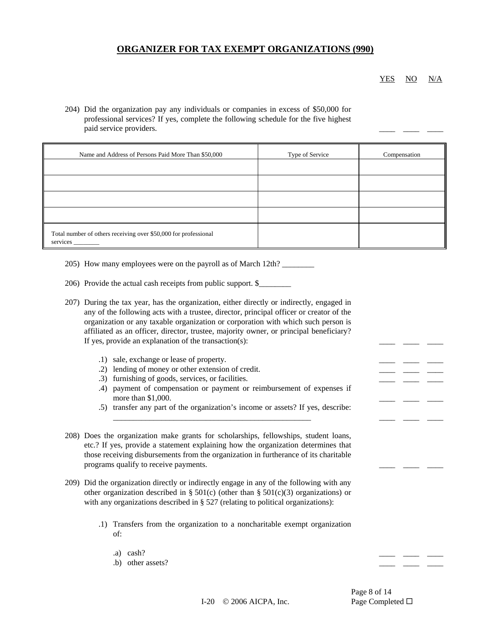YES NO N/A

204) Did the organization pay any individuals or companies in excess of \$50,000 for professional services? If yes, complete the following schedule for the five highest paid service providers.

| Name and Address of Persons Paid More Than \$50,000                         | Type of Service | Compensation |
|-----------------------------------------------------------------------------|-----------------|--------------|
|                                                                             |                 |              |
|                                                                             |                 |              |
|                                                                             |                 |              |
|                                                                             |                 |              |
| Total number of others receiving over \$50,000 for professional<br>services |                 |              |

- 205) How many employees were on the payroll as of March 12th?
- 206) Provide the actual cash receipts from public support. \$\_\_\_\_\_\_\_\_

| 207) During the tax year, has the organization, either directly or indirectly, engaged in |
|-------------------------------------------------------------------------------------------|
| any of the following acts with a trustee, director, principal officer or creator of the   |
| organization or any taxable organization or corporation with which such person is         |
| affiliated as an officer, director, trustee, majority owner, or principal beneficiary?    |
| If yes, provide an explanation of the transaction(s):                                     |

- .1) sale, exchange or lease of property.
- .2) lending of money or other extension of credit.
- .3) furnishing of goods, services, or facilities.
- .4) payment of compensation or payment or reimbursement of expenses if more than  $$1,000$ .
- .5) transfer any part of the organization's income or assets? If yes, describe:

\_\_\_\_\_\_\_\_\_\_\_\_\_\_\_\_\_\_\_\_\_\_\_\_\_\_\_\_\_\_\_\_\_\_\_\_\_\_\_\_\_\_\_\_\_\_\_\_\_ \_\_\_\_ \_\_\_\_ \_\_\_\_

- 208) Does the organization make grants for scholarships, fellowships, student loans, etc.? If yes, provide a statement explaining how the organization determines that those receiving disbursements from the organization in furtherance of its charitable programs qualify to receive payments.
- 209) Did the organization directly or indirectly engage in any of the following with any other organization described in § 501(c) (other than § 501(c)(3) organizations) or with any organizations described in § 527 (relating to political organizations):
	- .1) Transfers from the organization to a noncharitable exempt organization of:
		- .a) cash?  $\qquad \qquad \qquad \qquad$
		- $\bullet$  b) other assets?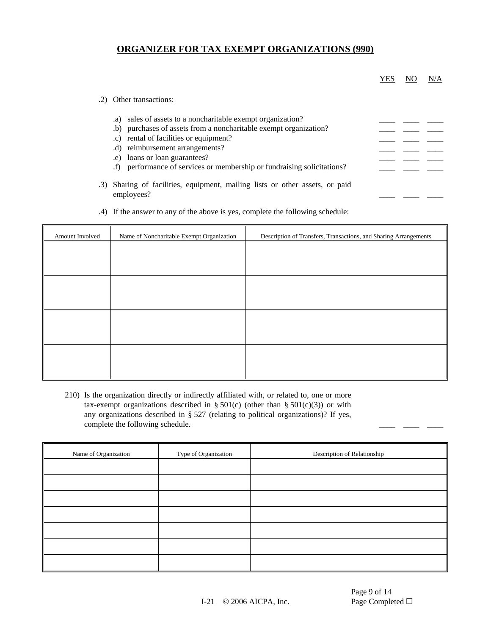|                                                                                                                                                                                                                                                                                                                                               | YES | N/A |
|-----------------------------------------------------------------------------------------------------------------------------------------------------------------------------------------------------------------------------------------------------------------------------------------------------------------------------------------------|-----|-----|
| Other transactions:                                                                                                                                                                                                                                                                                                                           |     |     |
| sales of assets to a noncharitable exempt organization?<br>.a)<br>(b) purchases of assets from a noncharitable exempt organization?<br>rental of facilities or equipment?<br>$\cdot c$ )<br>.d) reimbursement arrangements?<br>loans or loan guarantees?<br>.e.<br>performance of services or membership or fundraising solicitations?<br>(f) |     |     |
| Sharing of facilities, equipment, mailing lists or other assets, or paid<br>employees?                                                                                                                                                                                                                                                        |     |     |

| Amount Involved | Name of Noncharitable Exempt Organization | Description of Transfers, Transactions, and Sharing Arrangements |
|-----------------|-------------------------------------------|------------------------------------------------------------------|
|                 |                                           |                                                                  |
|                 |                                           |                                                                  |
|                 |                                           |                                                                  |
|                 |                                           |                                                                  |
|                 |                                           |                                                                  |
|                 |                                           |                                                                  |
|                 |                                           |                                                                  |
|                 |                                           |                                                                  |

.4) If the answer to any of the above is yes, complete the following schedule:

210) Is the organization directly or indirectly affiliated with, or related to, one or more tax-exempt organizations described in § 501(c) (other than § 501(c)(3)) or with any organizations described in § 527 (relating to political organizations)? If yes, complete the following schedule.

| Name of Organization | Type of Organization | Description of Relationship |
|----------------------|----------------------|-----------------------------|
|                      |                      |                             |
|                      |                      |                             |
|                      |                      |                             |
|                      |                      |                             |
|                      |                      |                             |
|                      |                      |                             |
|                      |                      |                             |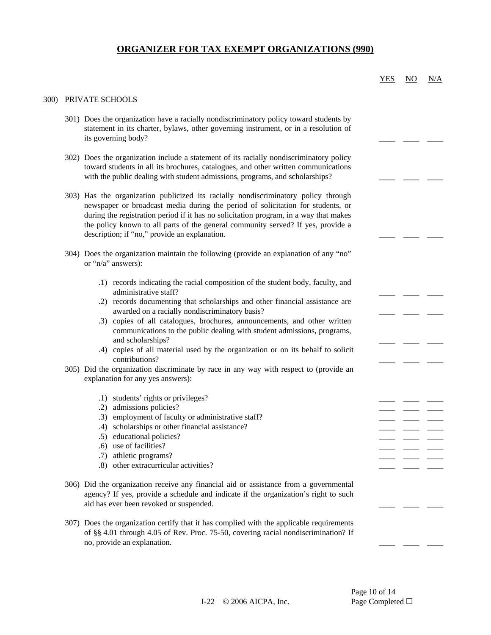|              |                                                                                                                                                                                                                                                                                                                                                                                                                                                                                                            | <b>YES</b> | NO. | N/A |
|--------------|------------------------------------------------------------------------------------------------------------------------------------------------------------------------------------------------------------------------------------------------------------------------------------------------------------------------------------------------------------------------------------------------------------------------------------------------------------------------------------------------------------|------------|-----|-----|
| <b>300</b> ) | PRIVATE SCHOOLS                                                                                                                                                                                                                                                                                                                                                                                                                                                                                            |            |     |     |
|              | 301) Does the organization have a racially nondiscriminatory policy toward students by<br>statement in its charter, bylaws, other governing instrument, or in a resolution of<br>its governing body?                                                                                                                                                                                                                                                                                                       |            |     |     |
|              | 302) Does the organization include a statement of its racially nondiscriminatory policy<br>toward students in all its brochures, catalogues, and other written communications<br>with the public dealing with student admissions, programs, and scholarships?                                                                                                                                                                                                                                              |            |     |     |
|              | 303) Has the organization publicized its racially nondiscriminatory policy through<br>newspaper or broadcast media during the period of solicitation for students, or<br>during the registration period if it has no solicitation program, in a way that makes<br>the policy known to all parts of the general community served? If yes, provide a<br>description; if "no," provide an explanation.                                                                                                        |            |     |     |
|              | 304) Does the organization maintain the following (provide an explanation of any "no"<br>or " $n/a$ " answers):                                                                                                                                                                                                                                                                                                                                                                                            |            |     |     |
|              | .1) records indicating the racial composition of the student body, faculty, and<br>administrative staff?<br>.2) records documenting that scholarships and other financial assistance are<br>awarded on a racially nondiscriminatory basis?<br>.3) copies of all catalogues, brochures, announcements, and other written<br>communications to the public dealing with student admissions, programs,<br>and scholarships?<br>.4) copies of all material used by the organization or on its behalf to solicit |            |     |     |
|              | contributions?<br>305) Did the organization discriminate by race in any way with respect to (provide an<br>explanation for any yes answers):                                                                                                                                                                                                                                                                                                                                                               |            |     |     |
|              | .1) students' rights or privileges?<br>.2) admissions policies?<br>.3) employment of faculty or administrative staff?<br>.4) scholarships or other financial assistance?<br>.5) educational policies?<br>.6) use of facilities?<br>.7) athletic programs?<br>.8) other extracurricular activities?                                                                                                                                                                                                         |            |     |     |
|              | 306) Did the organization receive any financial aid or assistance from a governmental<br>agency? If yes, provide a schedule and indicate if the organization's right to such<br>aid has ever been revoked or suspended.                                                                                                                                                                                                                                                                                    |            |     |     |
|              | 307) Does the organization certify that it has complied with the applicable requirements<br>of §§ 4.01 through 4.05 of Rev. Proc. 75-50, covering racial nondiscrimination? If<br>no, provide an explanation.                                                                                                                                                                                                                                                                                              |            |     |     |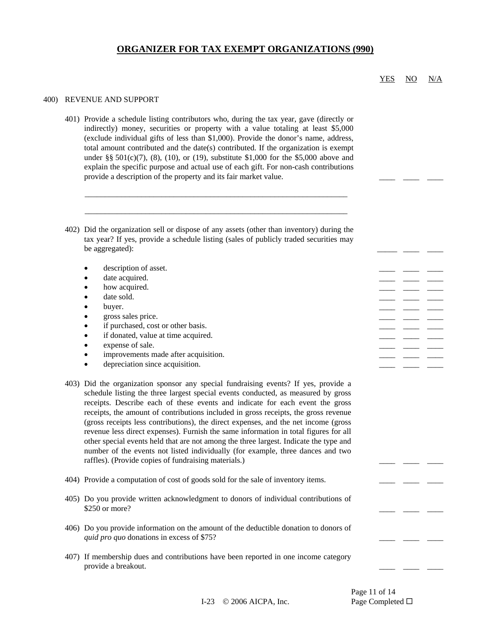#### 400) REVENUE AND SUPPORT

401) Provide a schedule listing contributors who, during the tax year, gave (directly or indirectly) money, securities or property with a value totaling at least \$5,000 (exclude individual gifts of less than \$1,000). Provide the donor's name, address, total amount contributed and the date(s) contributed. If the organization is exempt under §§  $501(c)(7)$ , (8), (10), or (19), substitute \$1,000 for the \$5,000 above and explain the specific purpose and actual use of each gift. For non-cash contributions provide a description of the property and its fair market value.

\_\_\_\_\_\_\_\_\_\_\_\_\_\_\_\_\_\_\_\_\_\_\_\_\_\_\_\_\_\_\_\_\_\_\_\_\_\_\_\_\_\_\_\_\_\_\_\_\_\_\_\_\_\_\_\_\_\_\_\_\_\_\_\_\_

\_\_\_\_\_\_\_\_\_\_\_\_\_\_\_\_\_\_\_\_\_\_\_\_\_\_\_\_\_\_\_\_\_\_\_\_\_\_\_\_\_\_\_\_\_\_\_\_\_\_\_\_\_\_\_\_\_\_\_\_\_\_\_\_\_

- 402) Did the organization sell or dispose of any assets (other than inventory) during the tax year? If yes, provide a schedule listing (sales of publicly traded securities may be aggregated):
	- description of asset.
	- date acquired.
	- how acquired.
	- date sold.  $\qquad \qquad \qquad \qquad$
	- buyer. \_\_\_\_ \_\_\_\_ \_\_\_\_
	- gross sales price.
	- if purchased, cost or other basis.
	- if donated, value at time acquired.
	- expense of sale.
	- improvements made after acquisition.
	- depreciation since acquisition.
- 403) Did the organization sponsor any special fundraising events? If yes, provide a schedule listing the three largest special events conducted, as measured by gross receipts. Describe each of these events and indicate for each event the gross receipts, the amount of contributions included in gross receipts, the gross revenue (gross receipts less contributions), the direct expenses, and the net income (gross revenue less direct expenses). Furnish the same information in total figures for all other special events held that are not among the three largest. Indicate the type and number of the events not listed individually (for example, three dances and two raffles). (Provide copies of fundraising materials.)
- 404) Provide a computation of cost of goods sold for the sale of inventory items.
- 405) Do you provide written acknowledgment to donors of individual contributions of \$250 or more?
- 406) Do you provide information on the amount of the deductible donation to donors of *quid pro quo* donations in excess of \$75?
- 407) If membership dues and contributions have been reported in one income category provide a breakout.

\_\_\_\_ \_\_\_\_ \_\_\_\_

Page 11 of 14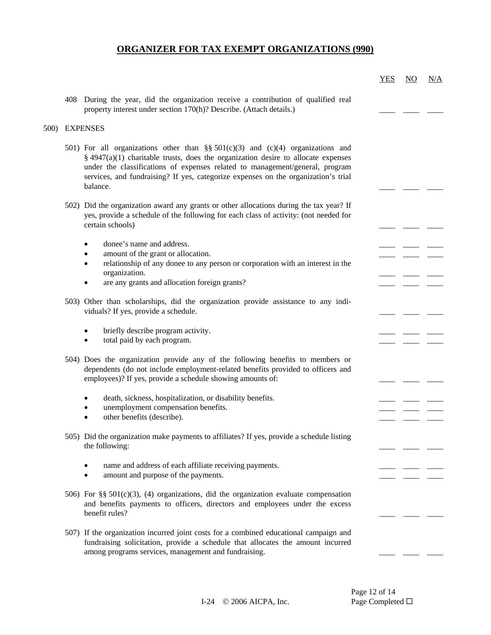|      |                                                                                                                                                                                                                                                                                                                                                           | <b>YES</b> | $\underline{\mathrm{NO}}$ | <u>N/A</u> |
|------|-----------------------------------------------------------------------------------------------------------------------------------------------------------------------------------------------------------------------------------------------------------------------------------------------------------------------------------------------------------|------------|---------------------------|------------|
|      | 408 During the year, did the organization receive a contribution of qualified real<br>property interest under section 170(h)? Describe. (Attach details.)                                                                                                                                                                                                 |            |                           |            |
| 500) | <b>EXPENSES</b>                                                                                                                                                                                                                                                                                                                                           |            |                           |            |
|      | 501) For all organizations other than §§ 501(c)(3) and (c)(4) organizations and<br>$\S$ 4947(a)(1) charitable trusts, does the organization desire to allocate expenses<br>under the classifications of expenses related to management/general, program<br>services, and fundraising? If yes, categorize expenses on the organization's trial<br>balance. |            |                           |            |
|      | 502) Did the organization award any grants or other allocations during the tax year? If<br>yes, provide a schedule of the following for each class of activity: (not needed for<br>certain schools)                                                                                                                                                       |            |                           |            |
|      | donee's name and address.<br>$\bullet$                                                                                                                                                                                                                                                                                                                    |            |                           |            |
|      | amount of the grant or allocation.<br>٠                                                                                                                                                                                                                                                                                                                   |            |                           |            |
|      | relationship of any donee to any person or corporation with an interest in the<br>$\bullet$                                                                                                                                                                                                                                                               |            |                           |            |
|      | organization.<br>are any grants and allocation foreign grants?                                                                                                                                                                                                                                                                                            |            |                           |            |
|      |                                                                                                                                                                                                                                                                                                                                                           |            |                           |            |
|      | 503) Other than scholarships, did the organization provide assistance to any indi-<br>viduals? If yes, provide a schedule.                                                                                                                                                                                                                                |            |                           |            |
|      | briefly describe program activity.<br>$\bullet$<br>total paid by each program.<br>$\bullet$                                                                                                                                                                                                                                                               |            |                           |            |
|      | 504) Does the organization provide any of the following benefits to members or<br>dependents (do not include employment-related benefits provided to officers and<br>employees)? If yes, provide a schedule showing amounts of:                                                                                                                           |            |                           |            |
|      | death, sickness, hospitalization, or disability benefits.                                                                                                                                                                                                                                                                                                 |            |                           |            |
|      | unemployment compensation benefits.<br>٠                                                                                                                                                                                                                                                                                                                  |            |                           |            |
|      | other benefits (describe).                                                                                                                                                                                                                                                                                                                                |            |                           |            |
|      | 505) Did the organization make payments to affiliates? If yes, provide a schedule listing<br>the following:                                                                                                                                                                                                                                               |            |                           |            |
|      |                                                                                                                                                                                                                                                                                                                                                           |            |                           |            |
|      | name and address of each affiliate receiving payments.<br>amount and purpose of the payments.                                                                                                                                                                                                                                                             |            |                           |            |
|      |                                                                                                                                                                                                                                                                                                                                                           |            |                           |            |
|      | 506) For §§ 501(c)(3), (4) organizations, did the organization evaluate compensation<br>and benefits payments to officers, directors and employees under the excess<br>benefit rules?                                                                                                                                                                     |            |                           |            |
|      | 507) If the organization incurred joint costs for a combined educational campaign and<br>fundraising solicitation, provide a schedule that allocates the amount incurred<br>among programs services, management and fundraising.                                                                                                                          |            |                           |            |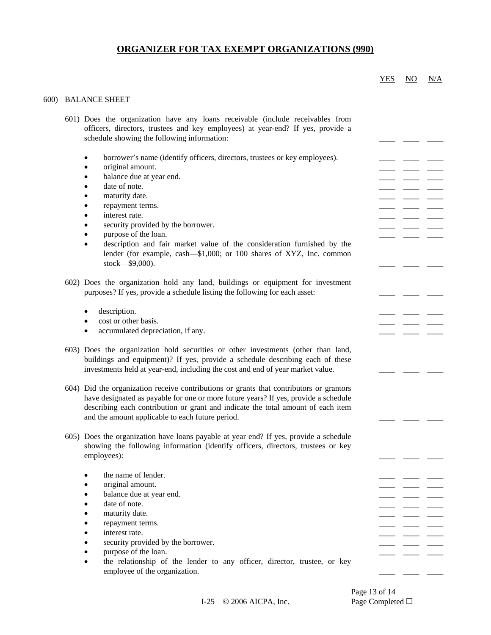#### 600) BALANCE SHEET

| 601) Does the organization have any loans receivable (include receivables from<br>officers, directors, trustees and key employees) at year-end? If yes, provide a<br>schedule showing the following information:                                                                                                                                                                                                          |  |  |  |
|---------------------------------------------------------------------------------------------------------------------------------------------------------------------------------------------------------------------------------------------------------------------------------------------------------------------------------------------------------------------------------------------------------------------------|--|--|--|
| borrower's name (identify officers, directors, trustees or key employees).<br>original amount.<br>٠<br>balance due at year end.<br>date of note.<br>maturity date.<br>repayment terms.<br>interest rate.<br>security provided by the borrower.<br>purpose of the loan.<br>description and fair market value of the consideration furnished by the<br>lender (for example, cash-\$1,000; or 100 shares of XYZ, Inc. common |  |  |  |
| stock-\$9,000).                                                                                                                                                                                                                                                                                                                                                                                                           |  |  |  |
| 602) Does the organization hold any land, buildings or equipment for investment<br>purposes? If yes, provide a schedule listing the following for each asset:                                                                                                                                                                                                                                                             |  |  |  |
| description.<br>٠                                                                                                                                                                                                                                                                                                                                                                                                         |  |  |  |
| cost or other basis.<br>٠                                                                                                                                                                                                                                                                                                                                                                                                 |  |  |  |
| accumulated depreciation, if any.                                                                                                                                                                                                                                                                                                                                                                                         |  |  |  |
| 603) Does the organization hold securities or other investments (other than land,<br>buildings and equipment)? If yes, provide a schedule describing each of these<br>investments held at year-end, including the cost and end of year market value.                                                                                                                                                                      |  |  |  |
| 604) Did the organization receive contributions or grants that contributors or grantors<br>have designated as payable for one or more future years? If yes, provide a schedule<br>describing each contribution or grant and indicate the total amount of each item<br>and the amount applicable to each future period.                                                                                                    |  |  |  |
| 605) Does the organization have loans payable at year end? If yes, provide a schedule<br>showing the following information (identify officers, directors, trustees or key<br>employees):                                                                                                                                                                                                                                  |  |  |  |
|                                                                                                                                                                                                                                                                                                                                                                                                                           |  |  |  |
| the name of lender.                                                                                                                                                                                                                                                                                                                                                                                                       |  |  |  |
| original amount.<br>balance due at year end.                                                                                                                                                                                                                                                                                                                                                                              |  |  |  |
| date of note.                                                                                                                                                                                                                                                                                                                                                                                                             |  |  |  |
| maturity date.                                                                                                                                                                                                                                                                                                                                                                                                            |  |  |  |
| repayment terms.                                                                                                                                                                                                                                                                                                                                                                                                          |  |  |  |
| interest rate.                                                                                                                                                                                                                                                                                                                                                                                                            |  |  |  |
| security provided by the borrower.                                                                                                                                                                                                                                                                                                                                                                                        |  |  |  |
| purpose of the loan.                                                                                                                                                                                                                                                                                                                                                                                                      |  |  |  |
| the relationship of the lender to any officer, director, trustee, or key                                                                                                                                                                                                                                                                                                                                                  |  |  |  |
| employee of the organization.                                                                                                                                                                                                                                                                                                                                                                                             |  |  |  |
|                                                                                                                                                                                                                                                                                                                                                                                                                           |  |  |  |

Page 13 of 14

YES NO N/A